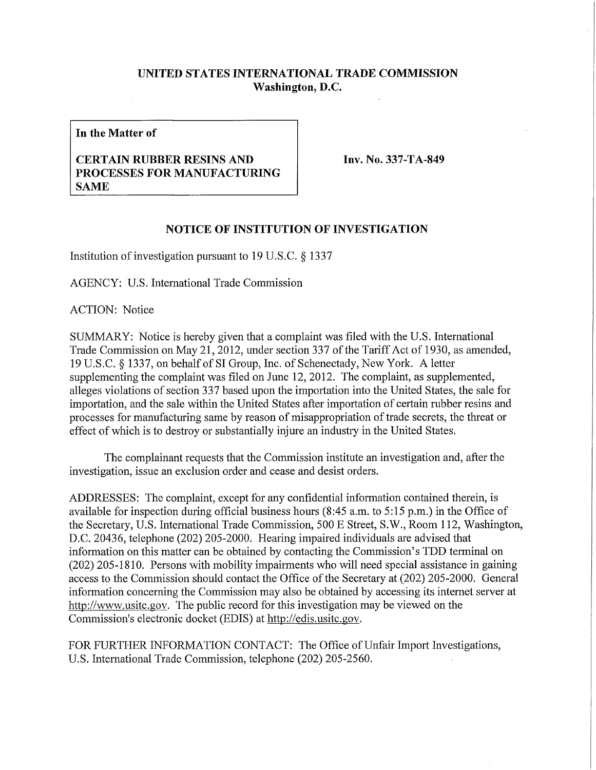## **UNITED STATES INTERNATIONAL TRADE COMMISSION Washington, D.C.**

**In the Matter of** 

## **CERTAIN RUBBER RESINS AND PROCESSES FOR MANUFACTURING SAME**

**Inv. No. 337-TA-849** 

## **NOTICE OF INSTITUTION OF INVESTIGATION**

Institution of investigation pursuant to 19 U.S.C. § 1337

AGENCY: U.S. International Trade Commission

ACTION: Notice

SUMMARY: Notice is hereby given that a complaint was filed with the U.S. International Trade Commission on May 21, 2012, under section 337 of the Tariff Act of 1930, as amended, 19 U.S.C. § 1337, on behalf of SI Group, Inc. of Schenectady, New York. A letter supplementing the complaint was filed on June 12, 2012. The complaint, as supplemented, alleges violations of section 337 based upon the importation into the United States, the sale for importation, and the sale within the United States after importation of certain rubber resins and processes for manufacturing same by reason of misappropriation of trade secrets, the threat or effect of which is to destroy or substantially injure an industry in the United States.

The complainant requests that the Commission institute an investigation and, after the investigation, issue an exclusion order and cease and desist orders.

ADDRESSES: The complaint, except for any confidential information contained therein, is available for inspection during official business hours (8:45 a.m. to 5:15 p.m.) in the Office of the Secretary, U.S. International Trade Commission, 500 E Street, S.W., Room 112, Washington, D.C. 20436, telephone (202) 205-2000. Hearing impaired individuals are advised that information on this matter can be obtained by contacting the Commission's TDD terminal on (202) 205-1810. Persons with mobility impairments who will need special assistance in gaining access to the Commission should contact the Office of the Secretary at (202) 205-2000. General information concerning the Commission may also be obtained by accessing its internet server at http://www.usitc.gov. The public record for this investigation may be viewed on the Commission's electronic docket (EDIS) at http://edis.usitc.gov.

FOR FURTHER INFORMATION CONTACT: The Office of Unfair Import Investigations, U.S. International Trade Commission, telephone (202) 205-2560.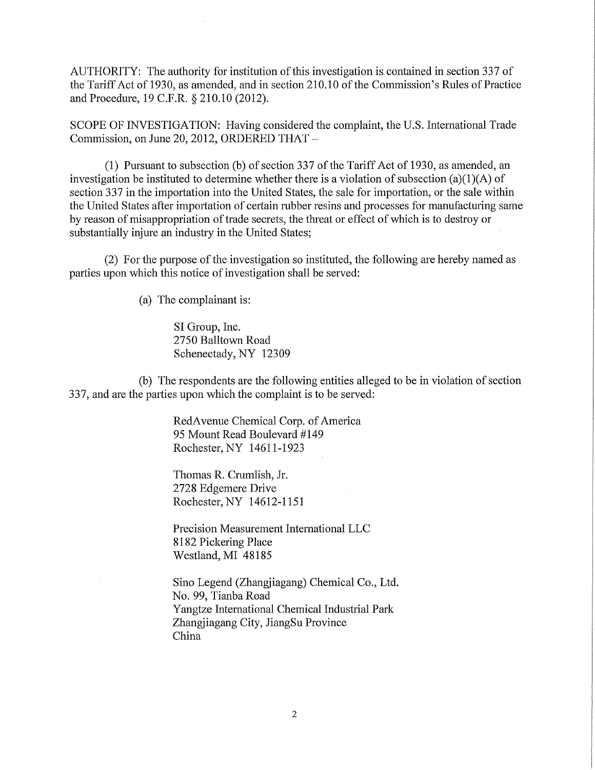AUTHORITY: The authority for institution of this investigation is contained in section 337 of the Tariff Act of 1930, as amended, and in section 210.10 of the Commission's Rules of Practice and Procedure, 19 C.F.R. § 210.10 (2012).

SCOPE OF INVESTIGATION: Having considered the complaint, the U.S. International Trade Commission, on June 20, 2012, ORDERED THAT -

(1) Pursuant to subsection (b) of section 337 of the Tariff Act of 1930, as amended, an investigation be instituted to determine whether there is a violation of subsection (a)(1)(A) of section 337 in the importation into the United States, the sale for importation, or the sale within the United States after importation of certain rubber resins and processes for manufacturing same by reason of misappropriation of trade secrets, the threat or effect of which is to destroy or substantially injure an industry in the United States;

(2) For the purpose of the investigation so instituted, the following are hereby named as parties upon which this notice of investigation shall be served:

(a) The complainant is:

SI Group, Inc. 2750 Balltown Road Schenectady, NY 12309

(b) The respondents are the following entities alleged to be in violation of section 337, and are the parties upon which the complaint is to be served:

> RedAvenue Chemical Corp. of America 95 Mount Read Boulevard #149 Rochester, NY 14611-1923

Thomas R. Crumlish, Jr. 2728 Edgemere Drive Rochester, NY 14612-1151

Precision Measurement International LLC 8182 Pickering Place Westland, MI 48185

Sino Legend (Zhangjiagang) Chemical Co., Ltd. No. 99, Tianba Road Yangtze International Chemical Industrial Park Zhangjiagang City, JiangSu Province China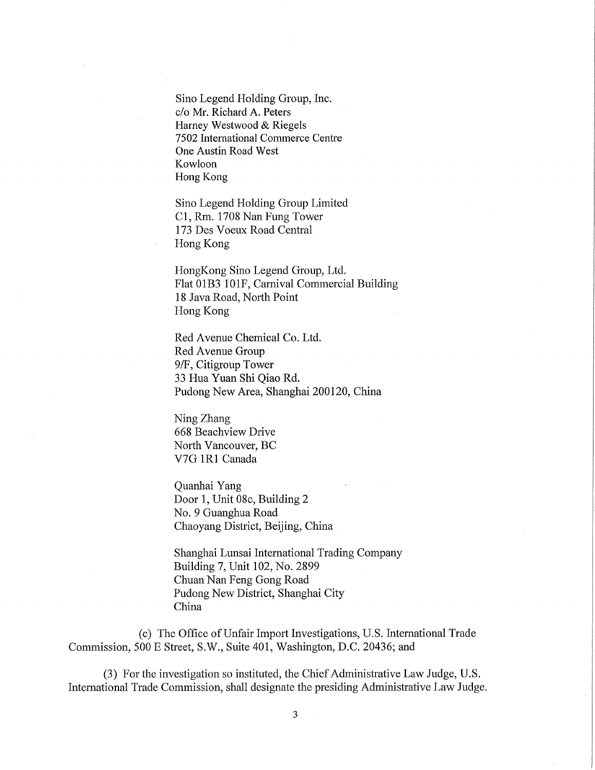Sino Legend Holding Group, Inc. c/o Mr. Richard A. Peters Harney Westwood & Riegels 7502 International Commerce Centre One Austin Road West Kowloon Hong Kong

Sino Legend Holding Group Limited Cl, Rm. 1708 Nan Fung Tower 173 Des Voeux Road Central Hong Kong

HongKong Sino Legend Group, Ltd. Flat 01B3 10IF, Carnival Commercial Building 18 Java Road, North Point Hong Kong

Red Avenue Chemical Co. Ltd. Red Avenue Group 9/F, Citigroup Tower 33 Hua Yuan Shi Qiao Rd. Pudong New Area, Shanghai 200120, China

Ning Zhang 668 Beachview Drive North Vancouver, BC V7G 1R1 Canada

Quanhai Yang Door 1, Unit 08c, Building 2 No. 9 Guanghua Road Chaoyang District, Beijing, China

Shanghai Lunsai International Trading Company Building 7, Unit 102, No. 2899 Chuan Nan Feng Gong Road Pudong New District, Shanghai City China

(c) The Office of Unfair Import Investigations, U.S. International Trade Commission, 500 E Street, S.W., Suite 401, Washington, D.C. 20436; and

(3) For the investigation so instituted, the Chief Administrative Law Judge, U.S. International Trade Commission, shall designate the presiding Administrative Law Judge.